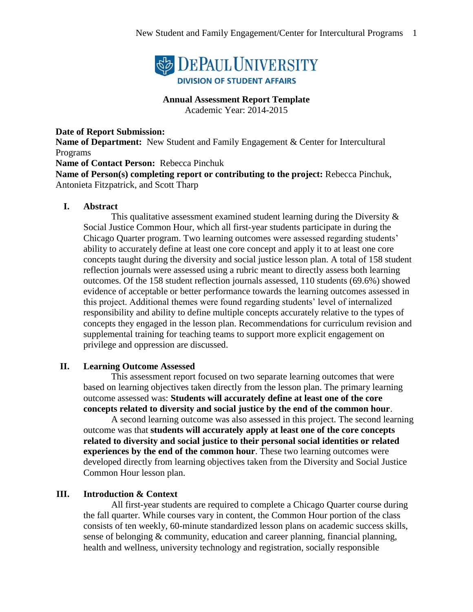

**Annual Assessment Report Template** Academic Year: 2014-2015

**Date of Report Submission:**

**Name of Department:** New Student and Family Engagement & Center for Intercultural Programs

**Name of Contact Person:** Rebecca Pinchuk

**Name of Person(s) completing report or contributing to the project:** Rebecca Pinchuk, Antonieta Fitzpatrick, and Scott Tharp

#### **I. Abstract**

This qualitative assessment examined student learning during the Diversity  $\&$ Social Justice Common Hour, which all first-year students participate in during the Chicago Quarter program. Two learning outcomes were assessed regarding students' ability to accurately define at least one core concept and apply it to at least one core concepts taught during the diversity and social justice lesson plan. A total of 158 student reflection journals were assessed using a rubric meant to directly assess both learning outcomes. Of the 158 student reflection journals assessed, 110 students (69.6%) showed evidence of acceptable or better performance towards the learning outcomes assessed in this project. Additional themes were found regarding students' level of internalized responsibility and ability to define multiple concepts accurately relative to the types of concepts they engaged in the lesson plan. Recommendations for curriculum revision and supplemental training for teaching teams to support more explicit engagement on privilege and oppression are discussed.

#### **II. Learning Outcome Assessed**

This assessment report focused on two separate learning outcomes that were based on learning objectives taken directly from the lesson plan. The primary learning outcome assessed was: **Students will accurately define at least one of the core concepts related to diversity and social justice by the end of the common hour**.

A second learning outcome was also assessed in this project. The second learning outcome was that **students will accurately apply at least one of the core concepts related to diversity and social justice to their personal social identities or related experiences by the end of the common hour**. These two learning outcomes were developed directly from learning objectives taken from the Diversity and Social Justice Common Hour lesson plan.

### **III. Introduction & Context**

All first-year students are required to complete a Chicago Quarter course during the fall quarter. While courses vary in content, the Common Hour portion of the class consists of ten weekly, 60-minute standardized lesson plans on academic success skills, sense of belonging & community, education and career planning, financial planning, health and wellness, university technology and registration, socially responsible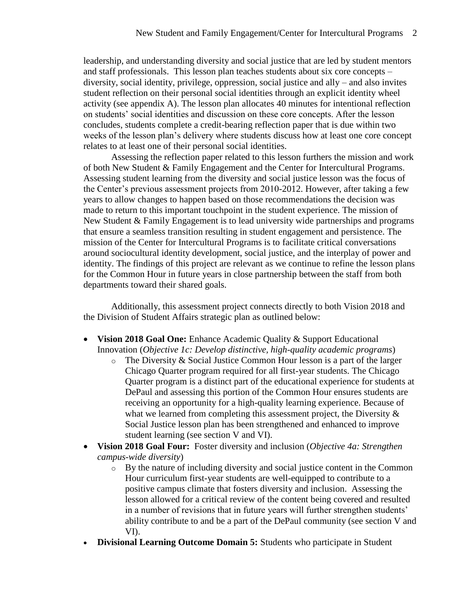leadership, and understanding diversity and social justice that are led by student mentors and staff professionals. This lesson plan teaches students about six core concepts – diversity, social identity, privilege, oppression, social justice and ally – and also invites student reflection on their personal social identities through an explicit identity wheel activity (see appendix A). The lesson plan allocates 40 minutes for intentional reflection on students' social identities and discussion on these core concepts. After the lesson concludes, students complete a credit-bearing reflection paper that is due within two weeks of the lesson plan's delivery where students discuss how at least one core concept relates to at least one of their personal social identities.

Assessing the reflection paper related to this lesson furthers the mission and work of both New Student & Family Engagement and the Center for Intercultural Programs. Assessing student learning from the diversity and social justice lesson was the focus of the Center's previous assessment projects from 2010-2012. However, after taking a few years to allow changes to happen based on those recommendations the decision was made to return to this important touchpoint in the student experience. The mission of New Student & Family Engagement is to lead university wide partnerships and programs that ensure a seamless transition resulting in student engagement and persistence. The mission of the Center for Intercultural Programs is to facilitate critical conversations around sociocultural identity development, social justice, and the interplay of power and identity. The findings of this project are relevant as we continue to refine the lesson plans for the Common Hour in future years in close partnership between the staff from both departments toward their shared goals.

Additionally, this assessment project connects directly to both Vision 2018 and the Division of Student Affairs strategic plan as outlined below:

- **Vision 2018 Goal One:** Enhance Academic Quality & Support Educational Innovation (*Objective 1c: Develop distinctive, high-quality academic programs*)
	- $\circ$  The Diversity & Social Justice Common Hour lesson is a part of the larger Chicago Quarter program required for all first-year students. The Chicago Quarter program is a distinct part of the educational experience for students at DePaul and assessing this portion of the Common Hour ensures students are receiving an opportunity for a high-quality learning experience. Because of what we learned from completing this assessment project, the Diversity  $\&$ Social Justice lesson plan has been strengthened and enhanced to improve student learning (see section V and VI).
- **Vision 2018 Goal Four:** Foster diversity and inclusion (*Objective 4a: Strengthen campus-wide diversity*)
	- o By the nature of including diversity and social justice content in the Common Hour curriculum first-year students are well-equipped to contribute to a positive campus climate that fosters diversity and inclusion. Assessing the lesson allowed for a critical review of the content being covered and resulted in a number of revisions that in future years will further strengthen students' ability contribute to and be a part of the DePaul community (see section V and VI).
- **Divisional Learning Outcome Domain 5:** Students who participate in Student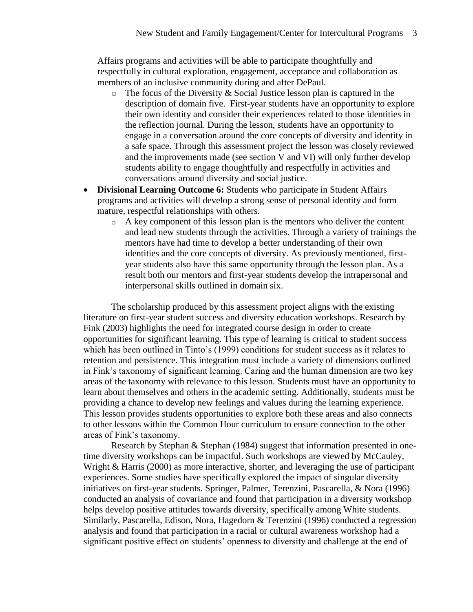Affairs programs and activities will be able to participate thoughtfully and respectfully in cultural exploration, engagement, acceptance and collaboration as members of an inclusive community during and after DePaul.

- $\circ$  The focus of the Diversity & Social Justice lesson plan is captured in the description of domain five. First-year students have an opportunity to explore their own identity and consider their experiences related to those identities in the reflection journal. During the lesson, students have an opportunity to engage in a conversation around the core concepts of diversity and identity in a safe space. Through this assessment project the lesson was closely reviewed and the improvements made (see section V and VI) will only further develop students ability to engage thoughtfully and respectfully in activities and conversations around diversity and social justice.
- **Divisional Learning Outcome 6:** Students who participate in Student Affairs programs and activities will develop a strong sense of personal identity and form mature, respectful relationships with others.
	- $\circ$  A key component of this lesson plan is the mentors who deliver the content and lead new students through the activities. Through a variety of trainings the mentors have had time to develop a better understanding of their own identities and the core concepts of diversity. As previously mentioned, firstyear students also have this same opportunity through the lesson plan. As a result both our mentors and first-year students develop the intrapersonal and interpersonal skills outlined in domain six.

The scholarship produced by this assessment project aligns with the existing literature on first-year student success and diversity education workshops. Research by Fink (2003) highlights the need for integrated course design in order to create opportunities for significant learning. This type of learning is critical to student success which has been outlined in Tinto's (1999) conditions for student success as it relates to retention and persistence. This integration must include a variety of dimensions outlined in Fink's taxonomy of significant learning. Caring and the human dimension are two key areas of the taxonomy with relevance to this lesson. Students must have an opportunity to learn about themselves and others in the academic setting. Additionally, students must be providing a chance to develop new feelings and values during the learning experience. This lesson provides students opportunities to explore both these areas and also connects to other lessons within the Common Hour curriculum to ensure connection to the other areas of Fink's taxonomy.

Research by Stephan & Stephan (1984) suggest that information presented in onetime diversity workshops can be impactful. Such workshops are viewed by McCauley, Wright & Harris (2000) as more interactive, shorter, and leveraging the use of participant experiences. Some studies have specifically explored the impact of singular diversity initiatives on first-year students. Springer, Palmer, Terenzini, Pascarella, & Nora (1996) conducted an analysis of covariance and found that participation in a diversity workshop helps develop positive attitudes towards diversity, specifically among White students. Similarly, Pascarella, Edison, Nora, Hagedorn & Terenzini (1996) conducted a regression analysis and found that participation in a racial or cultural awareness workshop had a significant positive effect on students' openness to diversity and challenge at the end of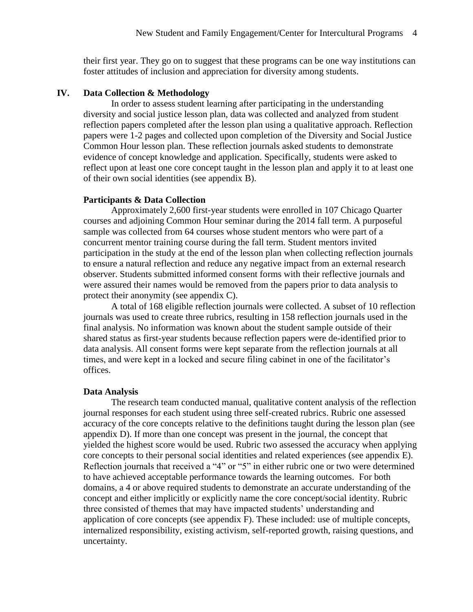their first year. They go on to suggest that these programs can be one way institutions can foster attitudes of inclusion and appreciation for diversity among students.

#### **IV. Data Collection & Methodology**

In order to assess student learning after participating in the understanding diversity and social justice lesson plan, data was collected and analyzed from student reflection papers completed after the lesson plan using a qualitative approach. Reflection papers were 1-2 pages and collected upon completion of the Diversity and Social Justice Common Hour lesson plan. These reflection journals asked students to demonstrate evidence of concept knowledge and application. Specifically, students were asked to reflect upon at least one core concept taught in the lesson plan and apply it to at least one of their own social identities (see appendix B).

#### **Participants & Data Collection**

Approximately 2,600 first-year students were enrolled in 107 Chicago Quarter courses and adjoining Common Hour seminar during the 2014 fall term. A purposeful sample was collected from 64 courses whose student mentors who were part of a concurrent mentor training course during the fall term. Student mentors invited participation in the study at the end of the lesson plan when collecting reflection journals to ensure a natural reflection and reduce any negative impact from an external research observer. Students submitted informed consent forms with their reflective journals and were assured their names would be removed from the papers prior to data analysis to protect their anonymity (see appendix C).

A total of 168 eligible reflection journals were collected. A subset of 10 reflection journals was used to create three rubrics, resulting in 158 reflection journals used in the final analysis. No information was known about the student sample outside of their shared status as first-year students because reflection papers were de-identified prior to data analysis. All consent forms were kept separate from the reflection journals at all times, and were kept in a locked and secure filing cabinet in one of the facilitator's offices.

#### **Data Analysis**

The research team conducted manual, qualitative content analysis of the reflection journal responses for each student using three self-created rubrics. Rubric one assessed accuracy of the core concepts relative to the definitions taught during the lesson plan (see appendix D). If more than one concept was present in the journal, the concept that yielded the highest score would be used. Rubric two assessed the accuracy when applying core concepts to their personal social identities and related experiences (see appendix E). Reflection journals that received a "4" or "5" in either rubric one or two were determined to have achieved acceptable performance towards the learning outcomes. For both domains, a 4 or above required students to demonstrate an accurate understanding of the concept and either implicitly or explicitly name the core concept/social identity. Rubric three consisted of themes that may have impacted students' understanding and application of core concepts (see appendix F). These included: use of multiple concepts, internalized responsibility, existing activism, self-reported growth, raising questions, and uncertainty.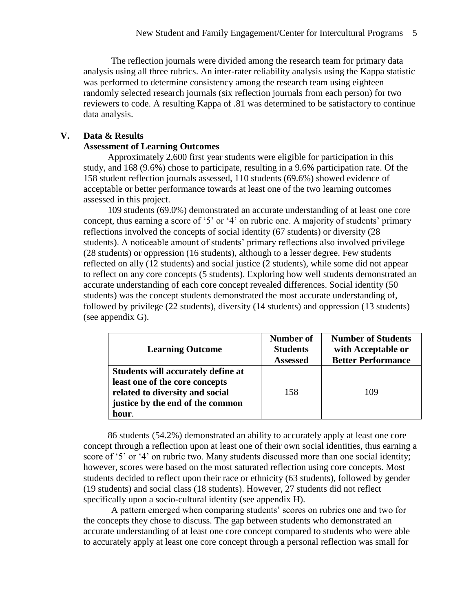The reflection journals were divided among the research team for primary data analysis using all three rubrics. An inter-rater reliability analysis using the Kappa statistic was performed to determine consistency among the research team using eighteen randomly selected research journals (six reflection journals from each person) for two reviewers to code. A resulting Kappa of .81 was determined to be satisfactory to continue data analysis.

## **V. Data & Results**

#### **Assessment of Learning Outcomes**

Approximately 2,600 first year students were eligible for participation in this study, and 168 (9.6%) chose to participate, resulting in a 9.6% participation rate. Of the 158 student reflection journals assessed, 110 students (69.6%) showed evidence of acceptable or better performance towards at least one of the two learning outcomes assessed in this project.

109 students (69.0%) demonstrated an accurate understanding of at least one core concept, thus earning a score of '5' or '4' on rubric one. A majority of students' primary reflections involved the concepts of social identity (67 students) or diversity (28 students). A noticeable amount of students' primary reflections also involved privilege (28 students) or oppression (16 students), although to a lesser degree. Few students reflected on ally (12 students) and social justice (2 students), while some did not appear to reflect on any core concepts (5 students). Exploring how well students demonstrated an accurate understanding of each core concept revealed differences. Social identity (50 students) was the concept students demonstrated the most accurate understanding of, followed by privilege (22 students), diversity (14 students) and oppression (13 students) (see appendix G).

| <b>Learning Outcome</b>                                                                                                                                     | Number of<br><b>Students</b><br><b>Assessed</b> | <b>Number of Students</b><br>with Acceptable or<br><b>Better Performance</b> |
|-------------------------------------------------------------------------------------------------------------------------------------------------------------|-------------------------------------------------|------------------------------------------------------------------------------|
| <b>Students will accurately define at</b><br>least one of the core concepts<br>related to diversity and social<br>justice by the end of the common<br>hour. | 158                                             | 109                                                                          |

86 students (54.2%) demonstrated an ability to accurately apply at least one core concept through a reflection upon at least one of their own social identities, thus earning a score of '5' or '4' on rubric two. Many students discussed more than one social identity; however, scores were based on the most saturated reflection using core concepts. Most students decided to reflect upon their race or ethnicity (63 students), followed by gender (19 students) and social class (18 students). However, 27 students did not reflect specifically upon a socio-cultural identity (see appendix H).

A pattern emerged when comparing students' scores on rubrics one and two for the concepts they chose to discuss. The gap between students who demonstrated an accurate understanding of at least one core concept compared to students who were able to accurately apply at least one core concept through a personal reflection was small for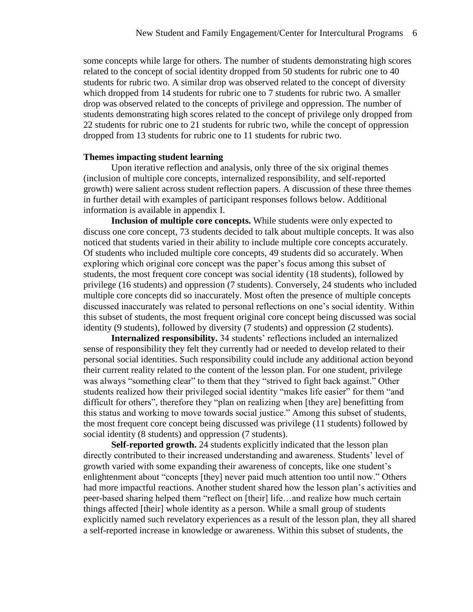some concepts while large for others. The number of students demonstrating high scores related to the concept of social identity dropped from 50 students for rubric one to 40 students for rubric two. A similar drop was observed related to the concept of diversity which dropped from 14 students for rubric one to 7 students for rubric two. A smaller drop was observed related to the concepts of privilege and oppression. The number of students demonstrating high scores related to the concept of privilege only dropped from 22 students for rubric one to 21 students for rubric two, while the concept of oppression dropped from 13 students for rubric one to 11 students for rubric two.

#### **Themes impacting student learning**

Upon iterative reflection and analysis, only three of the six original themes (inclusion of multiple core concepts, internalized responsibility, and self-reported growth) were salient across student reflection papers. A discussion of these three themes in further detail with examples of participant responses follows below. Additional information is available in appendix I.

**Inclusion of multiple core concepts.** While students were only expected to discuss one core concept, 73 students decided to talk about multiple concepts. It was also noticed that students varied in their ability to include multiple core concepts accurately. Of students who included multiple core concepts, 49 students did so accurately. When exploring which original core concept was the paper's focus among this subset of students, the most frequent core concept was social identity (18 students), followed by privilege (16 students) and oppression (7 students). Conversely, 24 students who included multiple core concepts did so inaccurately. Most often the presence of multiple concepts discussed inaccurately was related to personal reflections on one's social identity. Within this subset of students, the most frequent original core concept being discussed was social identity (9 students), followed by diversity (7 students) and oppression (2 students).

**Internalized responsibility.** 34 students' reflections included an internalized sense of responsibility they felt they currently had or needed to develop related to their personal social identities. Such responsibility could include any additional action beyond their current reality related to the content of the lesson plan. For one student, privilege was always "something clear" to them that they "strived to fight back against." Other students realized how their privileged social identity "makes life easier" for them "and difficult for others", therefore they "plan on realizing when [they are] benefitting from this status and working to move towards social justice." Among this subset of students, the most frequent core concept being discussed was privilege (11 students) followed by social identity (8 students) and oppression (7 students).

**Self-reported growth.** 24 students explicitly indicated that the lesson plan directly contributed to their increased understanding and awareness. Students' level of growth varied with some expanding their awareness of concepts, like one student's enlightenment about "concepts [they] never paid much attention too until now." Others had more impactful reactions. Another student shared how the lesson plan's activities and peer-based sharing helped them "reflect on [their] life…and realize how much certain things affected [their] whole identity as a person. While a small group of students explicitly named such revelatory experiences as a result of the lesson plan, they all shared a self-reported increase in knowledge or awareness. Within this subset of students, the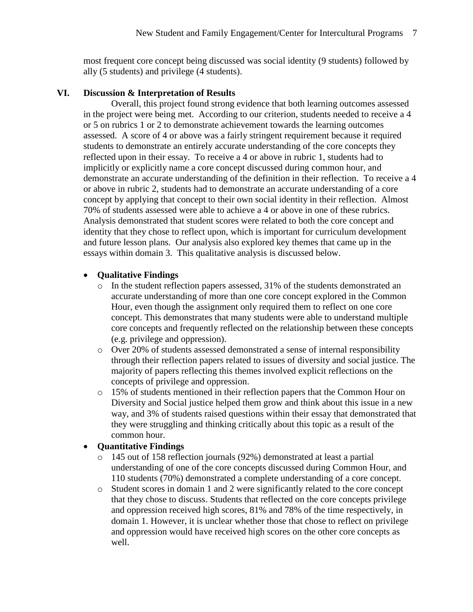most frequent core concept being discussed was social identity (9 students) followed by ally (5 students) and privilege (4 students).

#### **VI. Discussion & Interpretation of Results**

Overall, this project found strong evidence that both learning outcomes assessed in the project were being met. According to our criterion, students needed to receive a 4 or 5 on rubrics 1 or 2 to demonstrate achievement towards the learning outcomes assessed. A score of 4 or above was a fairly stringent requirement because it required students to demonstrate an entirely accurate understanding of the core concepts they reflected upon in their essay. To receive a 4 or above in rubric 1, students had to implicitly or explicitly name a core concept discussed during common hour, and demonstrate an accurate understanding of the definition in their reflection. To receive a 4 or above in rubric 2, students had to demonstrate an accurate understanding of a core concept by applying that concept to their own social identity in their reflection. Almost 70% of students assessed were able to achieve a 4 or above in one of these rubrics. Analysis demonstrated that student scores were related to both the core concept and identity that they chose to reflect upon, which is important for curriculum development and future lesson plans. Our analysis also explored key themes that came up in the essays within domain 3. This qualitative analysis is discussed below.

#### **Qualitative Findings**

- o In the student reflection papers assessed, 31% of the students demonstrated an accurate understanding of more than one core concept explored in the Common Hour, even though the assignment only required them to reflect on one core concept. This demonstrates that many students were able to understand multiple core concepts and frequently reflected on the relationship between these concepts (e.g. privilege and oppression).
- o Over 20% of students assessed demonstrated a sense of internal responsibility through their reflection papers related to issues of diversity and social justice. The majority of papers reflecting this themes involved explicit reflections on the concepts of privilege and oppression.
- o 15% of students mentioned in their reflection papers that the Common Hour on Diversity and Social justice helped them grow and think about this issue in a new way, and 3% of students raised questions within their essay that demonstrated that they were struggling and thinking critically about this topic as a result of the common hour.

#### **Quantitative Findings**

- o 145 out of 158 reflection journals (92%) demonstrated at least a partial understanding of one of the core concepts discussed during Common Hour, and 110 students (70%) demonstrated a complete understanding of a core concept.
- o Student scores in domain 1 and 2 were significantly related to the core concept that they chose to discuss. Students that reflected on the core concepts privilege and oppression received high scores, 81% and 78% of the time respectively, in domain 1. However, it is unclear whether those that chose to reflect on privilege and oppression would have received high scores on the other core concepts as well.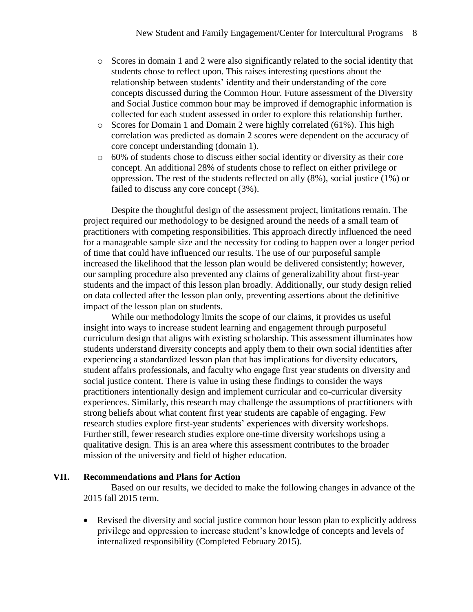- $\circ$  Scores in domain 1 and 2 were also significantly related to the social identity that students chose to reflect upon. This raises interesting questions about the relationship between students' identity and their understanding of the core concepts discussed during the Common Hour. Future assessment of the Diversity and Social Justice common hour may be improved if demographic information is collected for each student assessed in order to explore this relationship further.
- o Scores for Domain 1 and Domain 2 were highly correlated (61%). This high correlation was predicted as domain 2 scores were dependent on the accuracy of core concept understanding (domain 1).
- o 60% of students chose to discuss either social identity or diversity as their core concept. An additional 28% of students chose to reflect on either privilege or oppression. The rest of the students reflected on ally (8%), social justice (1%) or failed to discuss any core concept (3%).

Despite the thoughtful design of the assessment project, limitations remain. The project required our methodology to be designed around the needs of a small team of practitioners with competing responsibilities. This approach directly influenced the need for a manageable sample size and the necessity for coding to happen over a longer period of time that could have influenced our results. The use of our purposeful sample increased the likelihood that the lesson plan would be delivered consistently; however, our sampling procedure also prevented any claims of generalizability about first-year students and the impact of this lesson plan broadly. Additionally, our study design relied on data collected after the lesson plan only, preventing assertions about the definitive impact of the lesson plan on students.

While our methodology limits the scope of our claims, it provides us useful insight into ways to increase student learning and engagement through purposeful curriculum design that aligns with existing scholarship. This assessment illuminates how students understand diversity concepts and apply them to their own social identities after experiencing a standardized lesson plan that has implications for diversity educators, student affairs professionals, and faculty who engage first year students on diversity and social justice content. There is value in using these findings to consider the ways practitioners intentionally design and implement curricular and co-curricular diversity experiences. Similarly, this research may challenge the assumptions of practitioners with strong beliefs about what content first year students are capable of engaging. Few research studies explore first-year students' experiences with diversity workshops. Further still, fewer research studies explore one-time diversity workshops using a qualitative design. This is an area where this assessment contributes to the broader mission of the university and field of higher education.

#### **VII. Recommendations and Plans for Action**

Based on our results, we decided to make the following changes in advance of the 2015 fall 2015 term.

 Revised the diversity and social justice common hour lesson plan to explicitly address privilege and oppression to increase student's knowledge of concepts and levels of internalized responsibility (Completed February 2015).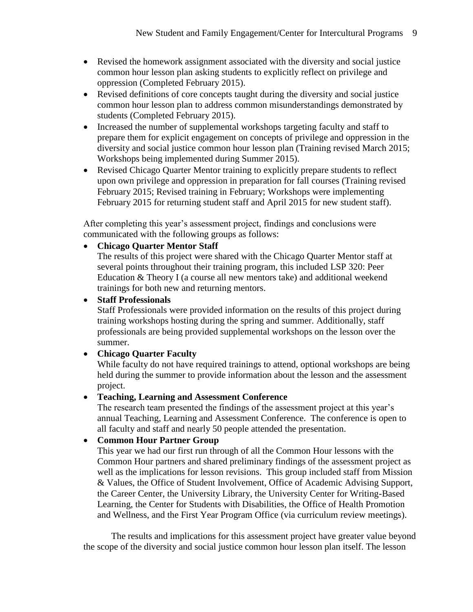- Revised the homework assignment associated with the diversity and social justice common hour lesson plan asking students to explicitly reflect on privilege and oppression (Completed February 2015).
- Revised definitions of core concepts taught during the diversity and social justice common hour lesson plan to address common misunderstandings demonstrated by students (Completed February 2015).
- Increased the number of supplemental workshops targeting faculty and staff to prepare them for explicit engagement on concepts of privilege and oppression in the diversity and social justice common hour lesson plan (Training revised March 2015; Workshops being implemented during Summer 2015).
- Revised Chicago Quarter Mentor training to explicitly prepare students to reflect upon own privilege and oppression in preparation for fall courses (Training revised February 2015; Revised training in February; Workshops were implementing February 2015 for returning student staff and April 2015 for new student staff).

After completing this year's assessment project, findings and conclusions were communicated with the following groups as follows:

## **Chicago Quarter Mentor Staff**

The results of this project were shared with the Chicago Quarter Mentor staff at several points throughout their training program, this included LSP 320: Peer Education & Theory I (a course all new mentors take) and additional weekend trainings for both new and returning mentors.

## **Staff Professionals**

Staff Professionals were provided information on the results of this project during training workshops hosting during the spring and summer. Additionally, staff professionals are being provided supplemental workshops on the lesson over the summer.

## **Chicago Quarter Faculty**

While faculty do not have required trainings to attend, optional workshops are being held during the summer to provide information about the lesson and the assessment project.

## **Teaching, Learning and Assessment Conference**

The research team presented the findings of the assessment project at this year's annual Teaching, Learning and Assessment Conference. The conference is open to all faculty and staff and nearly 50 people attended the presentation.

## **Common Hour Partner Group**

This year we had our first run through of all the Common Hour lessons with the Common Hour partners and shared preliminary findings of the assessment project as well as the implications for lesson revisions. This group included staff from Mission & Values, the Office of Student Involvement, Office of Academic Advising Support, the Career Center, the University Library, the University Center for Writing-Based Learning, the Center for Students with Disabilities, the Office of Health Promotion and Wellness, and the First Year Program Office (via curriculum review meetings).

The results and implications for this assessment project have greater value beyond the scope of the diversity and social justice common hour lesson plan itself. The lesson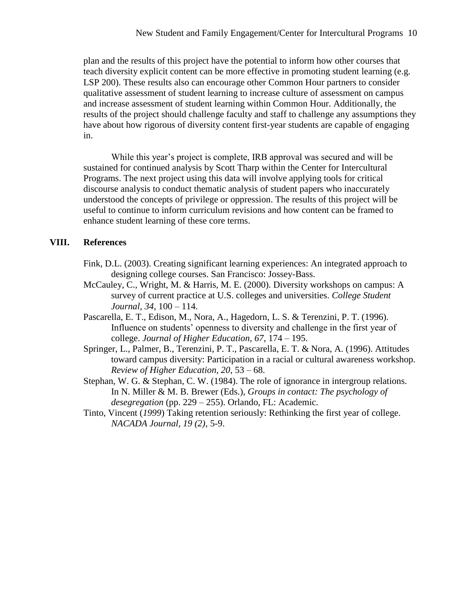plan and the results of this project have the potential to inform how other courses that teach diversity explicit content can be more effective in promoting student learning (e.g. LSP 200). These results also can encourage other Common Hour partners to consider qualitative assessment of student learning to increase culture of assessment on campus and increase assessment of student learning within Common Hour. Additionally, the results of the project should challenge faculty and staff to challenge any assumptions they have about how rigorous of diversity content first-year students are capable of engaging in.

While this year's project is complete, IRB approval was secured and will be sustained for continued analysis by Scott Tharp within the Center for Intercultural Programs. The next project using this data will involve applying tools for critical discourse analysis to conduct thematic analysis of student papers who inaccurately understood the concepts of privilege or oppression. The results of this project will be useful to continue to inform curriculum revisions and how content can be framed to enhance student learning of these core terms.

### **VIII. References**

- Fink, D.L. (2003). Creating significant learning experiences: An integrated approach to designing college courses. San Francisco: Jossey-Bass.
- McCauley, C., Wright, M. & Harris, M. E. (2000). Diversity workshops on campus: A survey of current practice at U.S. colleges and universities. *College Student Journal, 34*, 100 – 114.
- Pascarella, E. T., Edison, M., Nora, A., Hagedorn, L. S. & Terenzini, P. T. (1996). Influence on students' openness to diversity and challenge in the first year of college. *Journal of Higher Education, 67,* 174 – 195.
- Springer, L., Palmer, B., Terenzini, P. T., Pascarella, E. T. & Nora, A. (1996). Attitudes toward campus diversity: Participation in a racial or cultural awareness workshop. *Review of Higher Education, 20*, 53 – 68.
- Stephan, W. G. & Stephan, C. W. (1984). The role of ignorance in intergroup relations. In N. Miller & M. B. Brewer (Eds.), *Groups in contact: The psychology of desegregation* (pp. 229 – 255). Orlando, FL: Academic.
- Tinto, Vincent (*1999*) Taking retention seriously: Rethinking the first year of college. *NACADA Journal, 19 (2),* 5-9.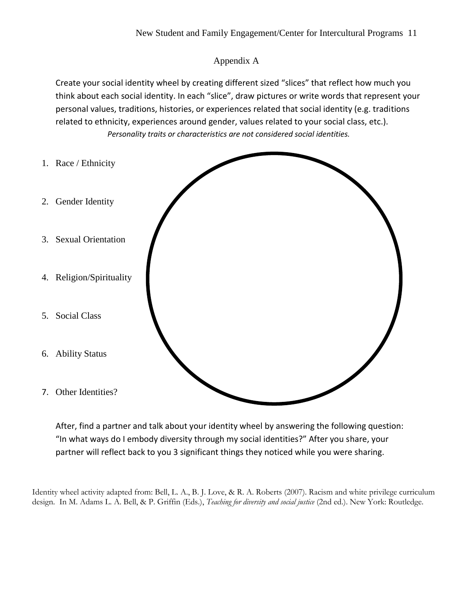## Appendix A

Create your social identity wheel by creating different sized "slices" that reflect how much you think about each social identity. In each "slice", draw pictures or write words that represent your personal values, traditions, histories, or experiences related that social identity (e.g. traditions related to ethnicity, experiences around gender, values related to your social class, etc.).  *Personality traits or characteristics are not considered social identities.*



After, find a partner and talk about your identity wheel by answering the following question: "In what ways do I embody diversity through my social identities?" After you share, your partner will reflect back to you 3 significant things they noticed while you were sharing.

Identity wheel activity adapted from: Bell, L. A., B. J. Love, & R. A. Roberts (2007). Racism and white privilege curriculum design. In M. Adams L. A. Bell, & P. Griffin (Eds.), *Teaching for diversity and social justice* (2nd ed.). New York: Routledge.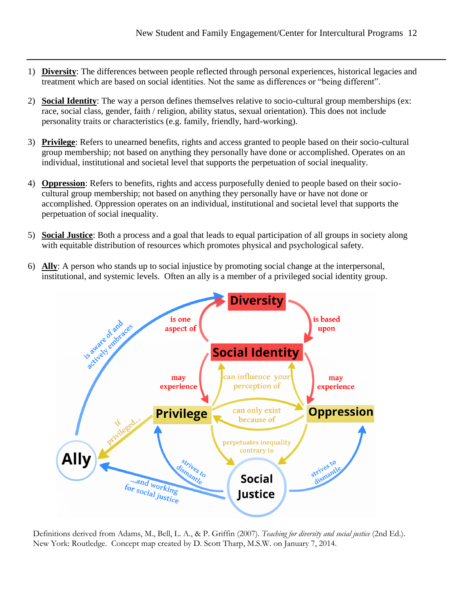- 1) **Diversity**: The differences between people reflected through personal experiences, historical legacies and treatment which are based on social identities. Not the same as differences or "being different".
- 2) **Social Identity**: The way a person defines themselves relative to socio-cultural group memberships (ex: race, social class, gender, faith / religion, ability status, sexual orientation). This does not include personality traits or characteristics (e.g. family, friendly, hard-working).
- 3) **Privilege**: Refers to unearned benefits, rights and access granted to people based on their socio-cultural group membership; not based on anything they personally have done or accomplished. Operates on an individual, institutional and societal level that supports the perpetuation of social inequality.
- 4) **Oppression**: Refers to benefits, rights and access purposefully denied to people based on their sociocultural group membership; not based on anything they personally have or have not done or accomplished. Oppression operates on an individual, institutional and societal level that supports the perpetuation of social inequality.
- 5) **Social Justice**: Both a process and a goal that leads to equal participation of all groups in society along with equitable distribution of resources which promotes physical and psychological safety.
- 6) **Ally**: A person who stands up to social injustice by promoting social change at the interpersonal, institutional, and systemic levels. Often an ally is a member of a privileged social identity group.



Definitions derived from Adams, M., Bell, L. A., & P. Griffin (2007). *Teaching for diversity and social justice* (2nd Ed.). New York: Routledge. Concept map created by D. Scott Tharp, M.S.W. on January 7, 2014.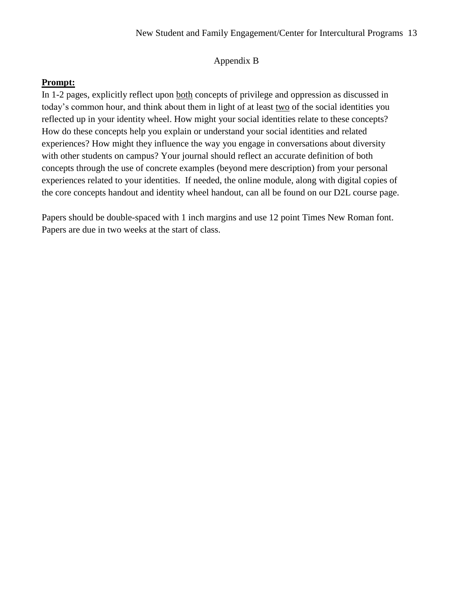## Appendix B

## **Prompt:**

In 1-2 pages, explicitly reflect upon both concepts of privilege and oppression as discussed in today's common hour, and think about them in light of at least two of the social identities you reflected up in your identity wheel. How might your social identities relate to these concepts? How do these concepts help you explain or understand your social identities and related experiences? How might they influence the way you engage in conversations about diversity with other students on campus? Your journal should reflect an accurate definition of both concepts through the use of concrete examples (beyond mere description) from your personal experiences related to your identities. If needed, the online module, along with digital copies of the core concepts handout and identity wheel handout, can all be found on our D2L course page.

Papers should be double-spaced with 1 inch margins and use 12 point Times New Roman font. Papers are due in two weeks at the start of class.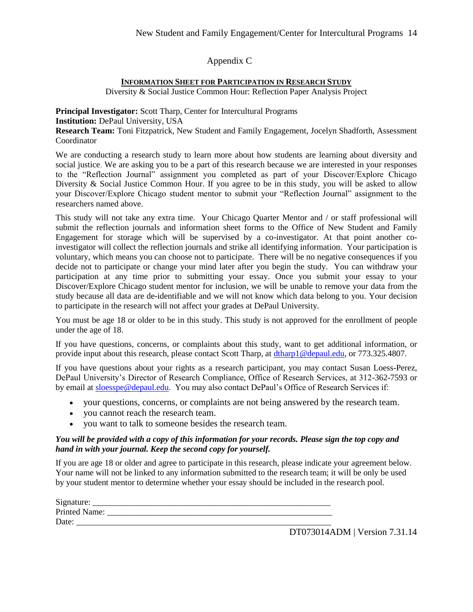Appendix C

## **INFORMATION SHEET FOR PARTICIPATION IN RESEARCH STUDY**

Diversity & Social Justice Common Hour: Reflection Paper Analysis Project

#### **Principal Investigator:** Scott Tharp, Center for Intercultural Programs

**Institution:** DePaul University, USA

**Research Team:** Toni Fitzpatrick, New Student and Family Engagement, Jocelyn Shadforth, Assessment Coordinator

We are conducting a research study to learn more about how students are learning about diversity and social justice. We are asking you to be a part of this research because we are interested in your responses to the "Reflection Journal" assignment you completed as part of your Discover/Explore Chicago Diversity & Social Justice Common Hour. If you agree to be in this study, you will be asked to allow your Discover/Explore Chicago student mentor to submit your "Reflection Journal" assignment to the researchers named above.

This study will not take any extra time. Your Chicago Quarter Mentor and / or staff professional will submit the reflection journals and information sheet forms to the Office of New Student and Family Engagement for storage which will be supervised by a co-investigator. At that point another coinvestigator will collect the reflection journals and strike all identifying information. Your participation is voluntary, which means you can choose not to participate. There will be no negative consequences if you decide not to participate or change your mind later after you begin the study. You can withdraw your participation at any time prior to submitting your essay. Once you submit your essay to your Discover/Explore Chicago student mentor for inclusion, we will be unable to remove your data from the study because all data are de-identifiable and we will not know which data belong to you. Your decision to participate in the research will not affect your grades at DePaul University.

You must be age 18 or older to be in this study. This study is not approved for the enrollment of people under the age of 18.

If you have questions, concerns, or complaints about this study, want to get additional information, or provide input about this research, please contact Scott Tharp, at [dtharp1@depaul.edu,](mailto:dtharp1@depaul.edu) or 773.325.4807.

If you have questions about your rights as a research participant, you may contact Susan Loess-Perez, DePaul University's Director of Research Compliance, Office of Research Services, at 312-362-7593 or by email at [sloesspe@depaul.edu.](mailto:sloesspe@depaul.edu) You may also contact DePaul's Office of Research Services if:

- your questions, concerns, or complaints are not being answered by the research team.
- you cannot reach the research team.
- you want to talk to someone besides the research team.

#### *You will be provided with a copy of this information for your records. Please sign the top copy and hand in with your journal. Keep the second copy for yourself.*

If you are age 18 or older and agree to participate in this research, please indicate your agreement below. Your name will not be linked to any information submitted to the research team; it will be only be used by your student mentor to determine whether your essay should be included in the research pool.

| Signature:    |  |  |
|---------------|--|--|
| Printed Name: |  |  |
| Date:         |  |  |

## DT073014ADM | Version 7.31.14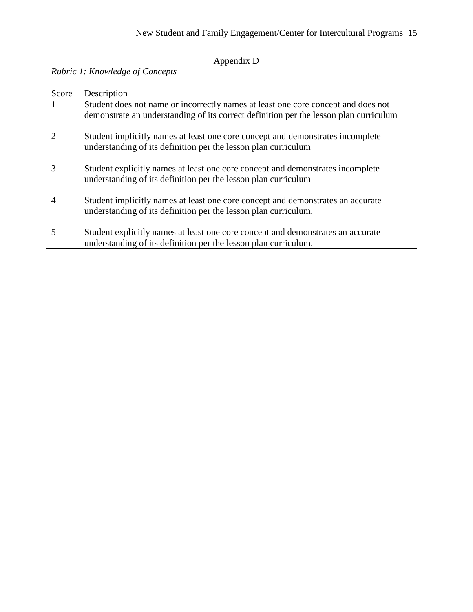# Appendix D

## *Rubric 1: Knowledge of Concepts*

| Score                       | Description                                                                                                                                                                |
|-----------------------------|----------------------------------------------------------------------------------------------------------------------------------------------------------------------------|
|                             | Student does not name or incorrectly names at least one core concept and does not<br>demonstrate an understanding of its correct definition per the lesson plan curriculum |
| $\mathcal{D}_{\mathcal{L}}$ | Student implicitly names at least one core concept and demonstrates incomplete<br>understanding of its definition per the lesson plan curriculum                           |
| 3                           | Student explicitly names at least one core concept and demonstrates incomplete<br>understanding of its definition per the lesson plan curriculum                           |
| 4                           | Student implicitly names at least one core concept and demonstrates an accurate<br>understanding of its definition per the lesson plan curriculum.                         |
|                             | Student explicitly names at least one core concept and demonstrates an accurate<br>understanding of its definition per the lesson plan curriculum.                         |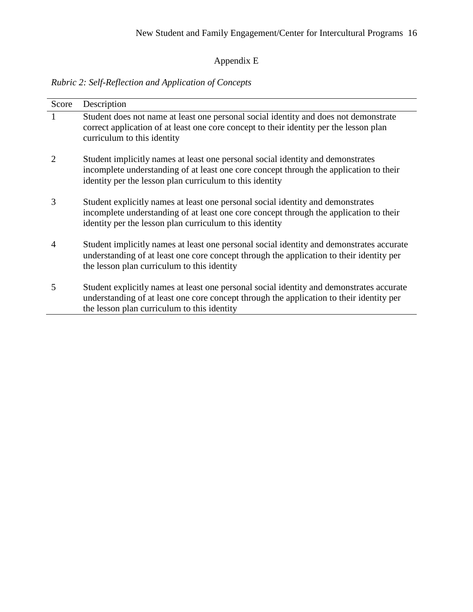# Appendix E

|  |  | Rubric 2: Self-Reflection and Application of Concepts |  |  |
|--|--|-------------------------------------------------------|--|--|
|--|--|-------------------------------------------------------|--|--|

| Score                 | Description                                                                                                                                                                                                                           |
|-----------------------|---------------------------------------------------------------------------------------------------------------------------------------------------------------------------------------------------------------------------------------|
|                       | Student does not name at least one personal social identity and does not demonstrate<br>correct application of at least one core concept to their identity per the lesson plan<br>curriculum to this identity                         |
| $\mathcal{D}_{\cdot}$ | Student implicitly names at least one personal social identity and demonstrates<br>incomplete understanding of at least one core concept through the application to their<br>identity per the lesson plan curriculum to this identity |
| 3                     | Student explicitly names at least one personal social identity and demonstrates<br>incomplete understanding of at least one core concept through the application to their<br>identity per the lesson plan curriculum to this identity |
| 4                     | Student implicitly names at least one personal social identity and demonstrates accurate<br>understanding of at least one core concept through the application to their identity per<br>the lesson plan curriculum to this identity   |
| 5                     | Student explicitly names at least one personal social identity and demonstrates accurate<br>understanding of at least one core concept through the application to their identity per<br>the lesson plan curriculum to this identity   |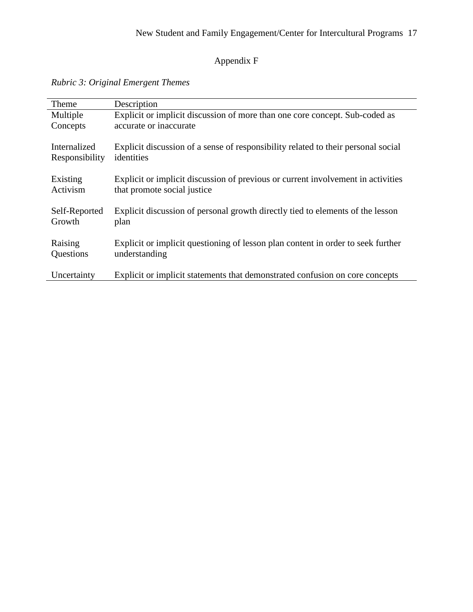# Appendix F

| Theme          | Description                                                                       |
|----------------|-----------------------------------------------------------------------------------|
| Multiple       | Explicit or implicit discussion of more than one core concept. Sub-coded as       |
| Concepts       | accurate or inaccurate                                                            |
| Internalized   | Explicit discussion of a sense of responsibility related to their personal social |
| Responsibility | identities                                                                        |
| Existing       | Explicit or implicit discussion of previous or current involvement in activities  |
| Activism       | that promote social justice                                                       |
| Self-Reported  | Explicit discussion of personal growth directly tied to elements of the lesson    |
| Growth         | plan                                                                              |
| Raising        | Explicit or implicit questioning of lesson plan content in order to seek further  |
| Questions      | understanding                                                                     |
| Uncertainty    | Explicit or implicit statements that demonstrated confusion on core concepts      |

*Rubric 3: Original Emergent Themes*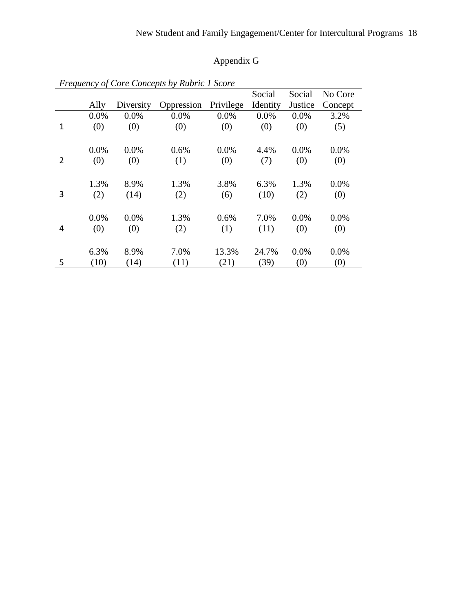# Appendix G

|   |      |           |            |           | Social   | Social  | No Core |
|---|------|-----------|------------|-----------|----------|---------|---------|
|   | Ally | Diversity | Oppression | Privilege | Identity | Justice | Concept |
|   | 0.0% | 0.0%      | 0.0%       | 0.0%      | 0.0%     | 0.0%    | 3.2%    |
| 1 | (0)  | (0)       | (0)        | (0)       | (0)      | (0)     | (5)     |
|   |      |           |            |           |          |         |         |
|   | 0.0% | $0.0\%$   | 0.6%       | 0.0%      | 4.4%     | 0.0%    | 0.0%    |
| 2 | (0)  | (0)       | (1)        | (0)       | (7)      | (0)     | (0)     |
|   |      |           |            |           |          |         |         |
|   | 1.3% | 8.9%      | 1.3%       | 3.8%      | 6.3%     | 1.3%    | 0.0%    |
| 3 | (2)  | (14)      | (2)        | (6)       | (10)     | (2)     | (0)     |
|   |      |           |            |           |          |         |         |
|   | 0.0% | $0.0\%$   | 1.3%       | 0.6%      | 7.0%     | 0.0%    | 0.0%    |
| 4 | (0)  | (0)       | (2)        | (1)       | (11)     | (0)     | (0)     |
|   |      |           |            |           |          |         |         |
|   | 6.3% | 8.9%      | 7.0%       | 13.3%     | 24.7%    | 0.0%    | 0.0%    |
| 5 | (10) | (14)      | (11)       | (21)      | (39)     | (0)     | (0)     |

*Frequency of Core Concepts by Rubric 1 Score*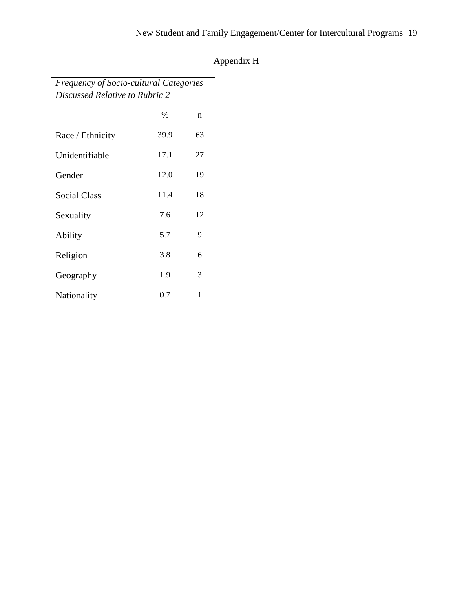| Discussed Relative to Rubric 2 |               |    |  |  |
|--------------------------------|---------------|----|--|--|
|                                | $\frac{0}{0}$ | n  |  |  |
| Race / Ethnicity               | 39.9          | 63 |  |  |
| Unidentifiable                 | 17.1          | 27 |  |  |
| Gender                         | 12.0          | 19 |  |  |
| Social Class                   | 11.4          | 18 |  |  |
| Sexuality                      | 7.6           | 12 |  |  |
| Ability                        | 5.7           | 9  |  |  |
| Religion                       | 3.8           | 6  |  |  |
| Geography                      | 1.9           | 3  |  |  |
| Nationality                    | 0.7           | 1  |  |  |

*Frequency of Socio-cultural Categories* 

# Appendix H